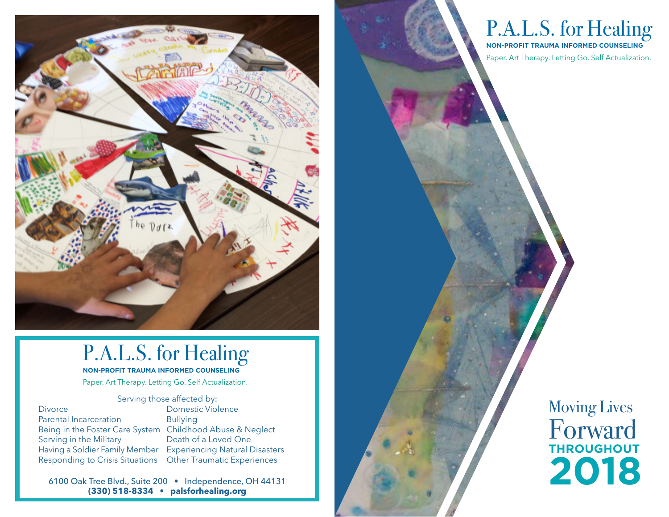

# P.A.L.S. for Healing

**NON-PROFIT TRAUMA INFORMED COUNSELING**

Paper. Art Therapy. Letting Go. Self Actualization.

### Serving those affected by:

**Divorce** Parental Incarceration Being in the Foster Care System Childhood Abuse & Neglect Serving in the Military Responding to Crisis Situations

Having a Soldier Family Member Experiencing Natural Disasters Domestic Violence Bullying Death of a Loved One Other Traumatic Experiences

6100 Oak Tree Blvd., Suite 200 • Independence, OH 44131 **(330) 518-8334 • palsforhealing.org**

## P.A.L.S. for Healing **NON-PROFIT TRAUMA INFORMED COUNSELING**

Paper. Art Therapy. Letting Go. Self Actualization.

Moving Lives Forward **THROUGHOUT 2018**